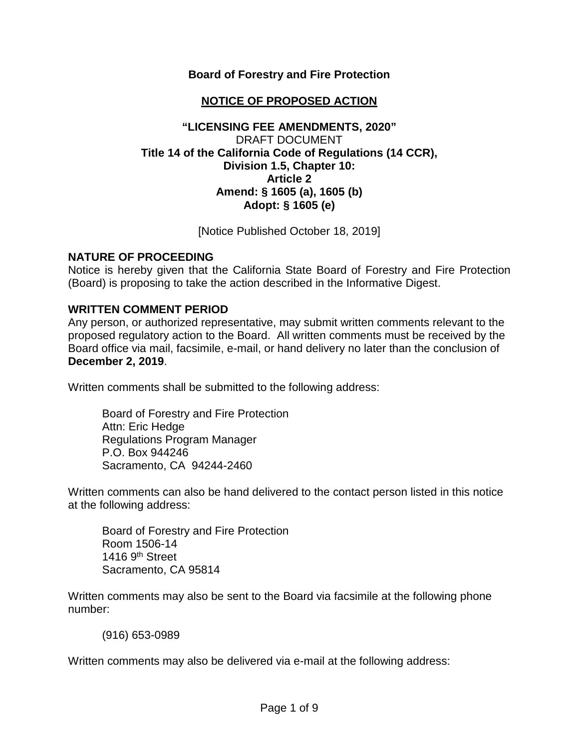### **Board of Forestry and Fire Protection**

# **NOTICE OF PROPOSED ACTION**

### **"LICENSING FEE AMENDMENTS, 2020"** DRAFT DOCUMENT **Title 14 of the California Code of Regulations (14 CCR), Division 1.5, Chapter 10: Article 2 Amend: § 1605 (a), 1605 (b) Adopt: § 1605 (e)**

[Notice Published October 18, 2019]

### **NATURE OF PROCEEDING**

Notice is hereby given that the California State Board of Forestry and Fire Protection (Board) is proposing to take the action described in the Informative Digest.

#### **WRITTEN COMMENT PERIOD**

Any person, or authorized representative, may submit written comments relevant to the proposed regulatory action to the Board. All written comments must be received by the Board office via mail, facsimile, e-mail, or hand delivery no later than the conclusion of **December 2, 2019**.

Written comments shall be submitted to the following address:

Board of Forestry and Fire Protection Attn: Eric Hedge Regulations Program Manager P.O. Box 944246 Sacramento, CA 94244-2460

Written comments can also be hand delivered to the contact person listed in this notice at the following address:

Board of Forestry and Fire Protection Room 1506-14 1416  $9<sup>th</sup>$  Street Sacramento, CA 95814

Written comments may also be sent to the Board via facsimile at the following phone number:

(916) 653-0989

Written comments may also be delivered via e-mail at the following address: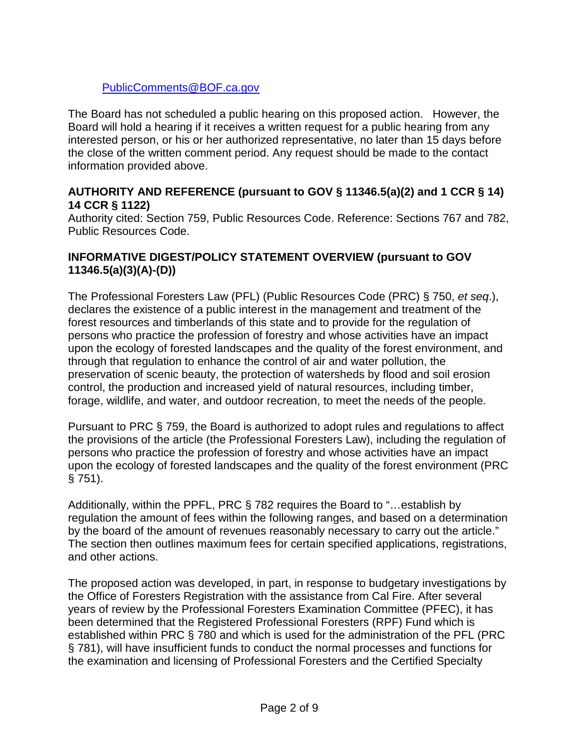# [PublicComments@BOF.ca.gov](mailto:PublicComments@BOF.ca.gov)

The Board has not scheduled a public hearing on this proposed action. However, the Board will hold a hearing if it receives a written request for a public hearing from any interested person, or his or her authorized representative, no later than 15 days before the close of the written comment period. Any request should be made to the contact information provided above.

## **AUTHORITY AND REFERENCE (pursuant to GOV § 11346.5(a)(2) and 1 CCR § 14) 14 CCR § 1122)**

Authority cited: Section 759, Public Resources Code. Reference: Sections 767 and 782, Public Resources Code.

### **INFORMATIVE DIGEST/POLICY STATEMENT OVERVIEW (pursuant to GOV 11346.5(a)(3)(A)-(D))**

The Professional Foresters Law (PFL) (Public Resources Code (PRC) § 750, *et seq*.), declares the existence of a public interest in the management and treatment of the forest resources and timberlands of this state and to provide for the regulation of persons who practice the profession of forestry and whose activities have an impact upon the ecology of forested landscapes and the quality of the forest environment, and through that regulation to enhance the control of air and water pollution, the preservation of scenic beauty, the protection of watersheds by flood and soil erosion control, the production and increased yield of natural resources, including timber, forage, wildlife, and water, and outdoor recreation, to meet the needs of the people.

Pursuant to PRC § 759, the Board is authorized to adopt rules and regulations to affect the provisions of the article (the Professional Foresters Law), including the regulation of persons who practice the profession of forestry and whose activities have an impact upon the ecology of forested landscapes and the quality of the forest environment (PRC § 751).

Additionally, within the PPFL, PRC § 782 requires the Board to "…establish by regulation the amount of fees within the following ranges, and based on a determination by the board of the amount of revenues reasonably necessary to carry out the article." The section then outlines maximum fees for certain specified applications, registrations, and other actions.

The proposed action was developed, in part, in response to budgetary investigations by the Office of Foresters Registration with the assistance from Cal Fire. After several years of review by the Professional Foresters Examination Committee (PFEC), it has been determined that the Registered Professional Foresters (RPF) Fund which is established within PRC § 780 and which is used for the administration of the PFL (PRC § 781), will have insufficient funds to conduct the normal processes and functions for the examination and licensing of Professional Foresters and the Certified Specialty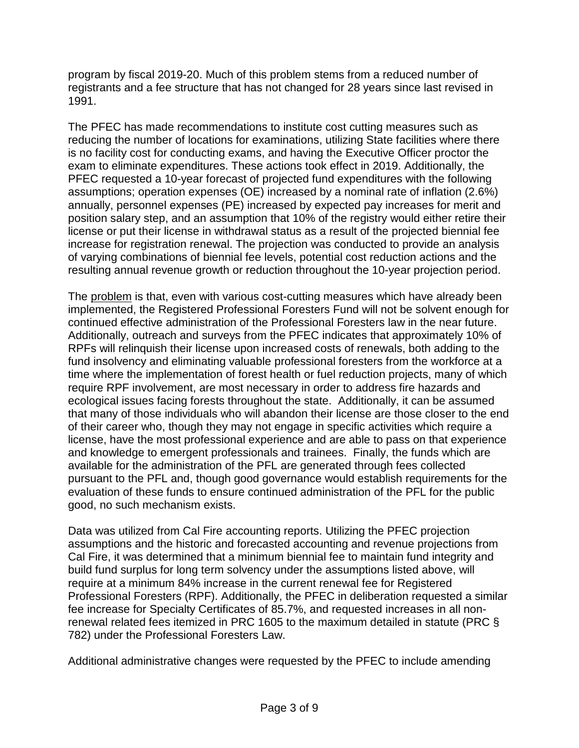program by fiscal 2019-20. Much of this problem stems from a reduced number of registrants and a fee structure that has not changed for 28 years since last revised in 1991.

The PFEC has made recommendations to institute cost cutting measures such as reducing the number of locations for examinations, utilizing State facilities where there is no facility cost for conducting exams, and having the Executive Officer proctor the exam to eliminate expenditures. These actions took effect in 2019. Additionally, the PFEC requested a 10-year forecast of projected fund expenditures with the following assumptions; operation expenses (OE) increased by a nominal rate of inflation (2.6%) annually, personnel expenses (PE) increased by expected pay increases for merit and position salary step, and an assumption that 10% of the registry would either retire their license or put their license in withdrawal status as a result of the projected biennial fee increase for registration renewal. The projection was conducted to provide an analysis of varying combinations of biennial fee levels, potential cost reduction actions and the resulting annual revenue growth or reduction throughout the 10-year projection period.

The problem is that, even with various cost-cutting measures which have already been implemented, the Registered Professional Foresters Fund will not be solvent enough for continued effective administration of the Professional Foresters law in the near future. Additionally, outreach and surveys from the PFEC indicates that approximately 10% of RPFs will relinquish their license upon increased costs of renewals, both adding to the fund insolvency and eliminating valuable professional foresters from the workforce at a time where the implementation of forest health or fuel reduction projects, many of which require RPF involvement, are most necessary in order to address fire hazards and ecological issues facing forests throughout the state. Additionally, it can be assumed that many of those individuals who will abandon their license are those closer to the end of their career who, though they may not engage in specific activities which require a license, have the most professional experience and are able to pass on that experience and knowledge to emergent professionals and trainees. Finally, the funds which are available for the administration of the PFL are generated through fees collected pursuant to the PFL and, though good governance would establish requirements for the evaluation of these funds to ensure continued administration of the PFL for the public good, no such mechanism exists.

Data was utilized from Cal Fire accounting reports. Utilizing the PFEC projection assumptions and the historic and forecasted accounting and revenue projections from Cal Fire, it was determined that a minimum biennial fee to maintain fund integrity and build fund surplus for long term solvency under the assumptions listed above, will require at a minimum 84% increase in the current renewal fee for Registered Professional Foresters (RPF). Additionally, the PFEC in deliberation requested a similar fee increase for Specialty Certificates of 85.7%, and requested increases in all nonrenewal related fees itemized in PRC 1605 to the maximum detailed in statute (PRC § 782) under the Professional Foresters Law.

Additional administrative changes were requested by the PFEC to include amending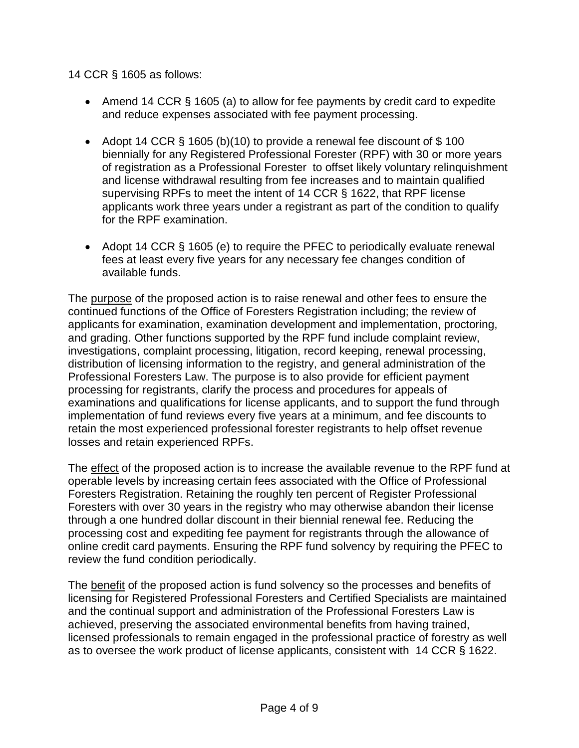### 14 CCR § 1605 as follows:

- Amend 14 CCR § 1605 (a) to allow for fee payments by credit card to expedite and reduce expenses associated with fee payment processing.
- Adopt 14 CCR  $\S$  1605 (b)(10) to provide a renewal fee discount of  $\S$  100 biennially for any Registered Professional Forester (RPF) with 30 or more years of registration as a Professional Forester to offset likely voluntary relinquishment and license withdrawal resulting from fee increases and to maintain qualified supervising RPFs to meet the intent of 14 CCR § 1622, that RPF license applicants work three years under a registrant as part of the condition to qualify for the RPF examination.
- Adopt 14 CCR § 1605 (e) to require the PFEC to periodically evaluate renewal fees at least every five years for any necessary fee changes condition of available funds.

The purpose of the proposed action is to raise renewal and other fees to ensure the continued functions of the Office of Foresters Registration including; the review of applicants for examination, examination development and implementation, proctoring, and grading. Other functions supported by the RPF fund include complaint review, investigations, complaint processing, litigation, record keeping, renewal processing, distribution of licensing information to the registry, and general administration of the Professional Foresters Law. The purpose is to also provide for efficient payment processing for registrants, clarify the process and procedures for appeals of examinations and qualifications for license applicants, and to support the fund through implementation of fund reviews every five years at a minimum, and fee discounts to retain the most experienced professional forester registrants to help offset revenue losses and retain experienced RPFs.

The effect of the proposed action is to increase the available revenue to the RPF fund at operable levels by increasing certain fees associated with the Office of Professional Foresters Registration. Retaining the roughly ten percent of Register Professional Foresters with over 30 years in the registry who may otherwise abandon their license through a one hundred dollar discount in their biennial renewal fee. Reducing the processing cost and expediting fee payment for registrants through the allowance of online credit card payments. Ensuring the RPF fund solvency by requiring the PFEC to review the fund condition periodically.

The benefit of the proposed action is fund solvency so the processes and benefits of licensing for Registered Professional Foresters and Certified Specialists are maintained and the continual support and administration of the Professional Foresters Law is achieved, preserving the associated environmental benefits from having trained, licensed professionals to remain engaged in the professional practice of forestry as well as to oversee the work product of license applicants, consistent with 14 CCR § 1622.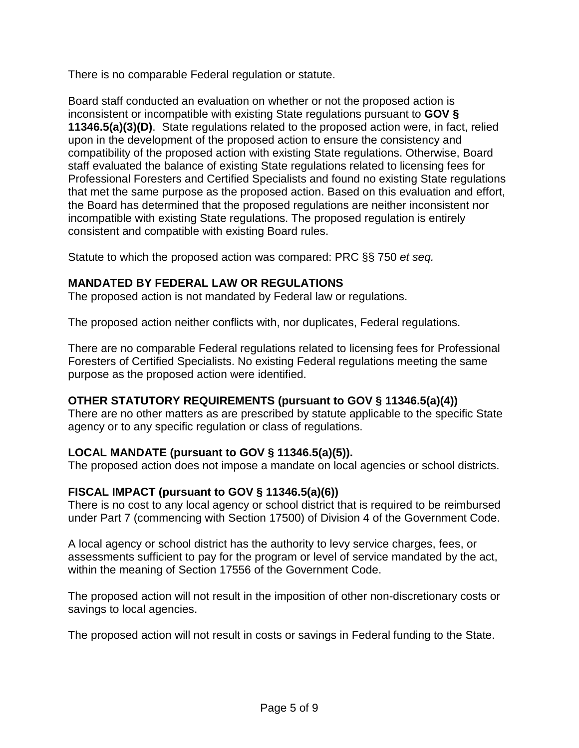There is no comparable Federal regulation or statute.

Board staff conducted an evaluation on whether or not the proposed action is inconsistent or incompatible with existing State regulations pursuant to **GOV § 11346.5(a)(3)(D)**.State regulations related to the proposed action were, in fact, relied upon in the development of the proposed action to ensure the consistency and compatibility of the proposed action with existing State regulations. Otherwise, Board staff evaluated the balance of existing State regulations related to licensing fees for Professional Foresters and Certified Specialists and found no existing State regulations that met the same purpose as the proposed action. Based on this evaluation and effort, the Board has determined that the proposed regulations are neither inconsistent nor incompatible with existing State regulations. The proposed regulation is entirely consistent and compatible with existing Board rules.

Statute to which the proposed action was compared: PRC §§ 750 *et seq.*

# **MANDATED BY FEDERAL LAW OR REGULATIONS**

The proposed action is not mandated by Federal law or regulations.

The proposed action neither conflicts with, nor duplicates, Federal regulations.

There are no comparable Federal regulations related to licensing fees for Professional Foresters of Certified Specialists. No existing Federal regulations meeting the same purpose as the proposed action were identified.

# **OTHER STATUTORY REQUIREMENTS (pursuant to GOV § 11346.5(a)(4))**

There are no other matters as are prescribed by statute applicable to the specific State agency or to any specific regulation or class of regulations.

# **LOCAL MANDATE (pursuant to GOV § 11346.5(a)(5)).**

The proposed action does not impose a mandate on local agencies or school districts.

# **FISCAL IMPACT (pursuant to GOV § 11346.5(a)(6))**

There is no cost to any local agency or school district that is required to be reimbursed under Part 7 (commencing with Section 17500) of Division 4 of the Government Code.

A local agency or school district has the authority to levy service charges, fees, or assessments sufficient to pay for the program or level of service mandated by the act, within the meaning of Section 17556 of the Government Code.

The proposed action will not result in the imposition of other non-discretionary costs or savings to local agencies.

The proposed action will not result in costs or savings in Federal funding to the State.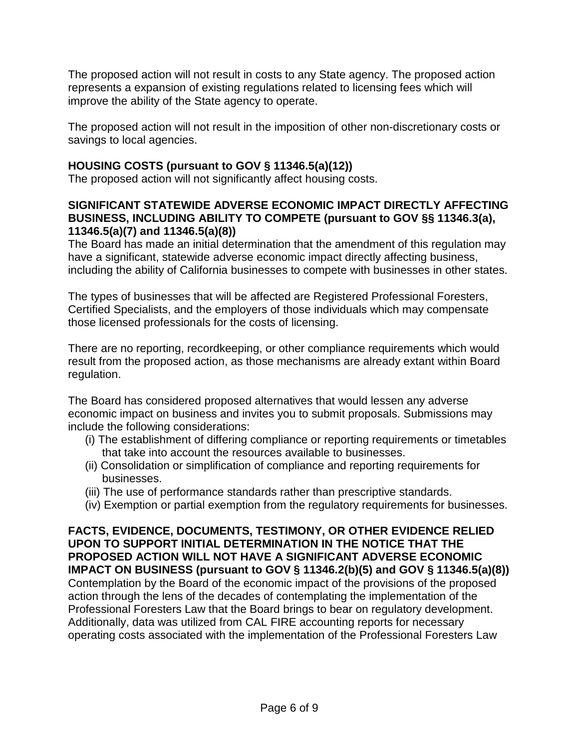The proposed action will not result in costs to any State agency. The proposed action represents a expansion of existing regulations related to licensing fees which will improve the ability of the State agency to operate.

The proposed action will not result in the imposition of other non-discretionary costs or savings to local agencies.

# **HOUSING COSTS (pursuant to GOV § 11346.5(a)(12))**

The proposed action will not significantly affect housing costs.

### **SIGNIFICANT STATEWIDE ADVERSE ECONOMIC IMPACT DIRECTLY AFFECTING BUSINESS, INCLUDING ABILITY TO COMPETE (pursuant to GOV §§ 11346.3(a), 11346.5(a)(7) and 11346.5(a)(8))**

The Board has made an initial determination that the amendment of this regulation may have a significant, statewide adverse economic impact directly affecting business, including the ability of California businesses to compete with businesses in other states.

The types of businesses that will be affected are Registered Professional Foresters, Certified Specialists, and the employers of those individuals which may compensate those licensed professionals for the costs of licensing.

There are no reporting, recordkeeping, or other compliance requirements which would result from the proposed action, as those mechanisms are already extant within Board regulation.

The Board has considered proposed alternatives that would lessen any adverse economic impact on business and invites you to submit proposals. Submissions may include the following considerations:

- (i) The establishment of differing compliance or reporting requirements or timetables that take into account the resources available to businesses.
- (ii) Consolidation or simplification of compliance and reporting requirements for businesses.
- (iii) The use of performance standards rather than prescriptive standards.
- (iv) Exemption or partial exemption from the regulatory requirements for businesses.

**FACTS, EVIDENCE, DOCUMENTS, TESTIMONY, OR OTHER EVIDENCE RELIED UPON TO SUPPORT INITIAL DETERMINATION IN THE NOTICE THAT THE PROPOSED ACTION WILL NOT HAVE A SIGNIFICANT ADVERSE ECONOMIC IMPACT ON BUSINESS (pursuant to GOV § 11346.2(b)(5) and GOV § 11346.5(a)(8))** Contemplation by the Board of the economic impact of the provisions of the proposed action through the lens of the decades of contemplating the implementation of the Professional Foresters Law that the Board brings to bear on regulatory development. Additionally, data was utilized from CAL FIRE accounting reports for necessary operating costs associated with the implementation of the Professional Foresters Law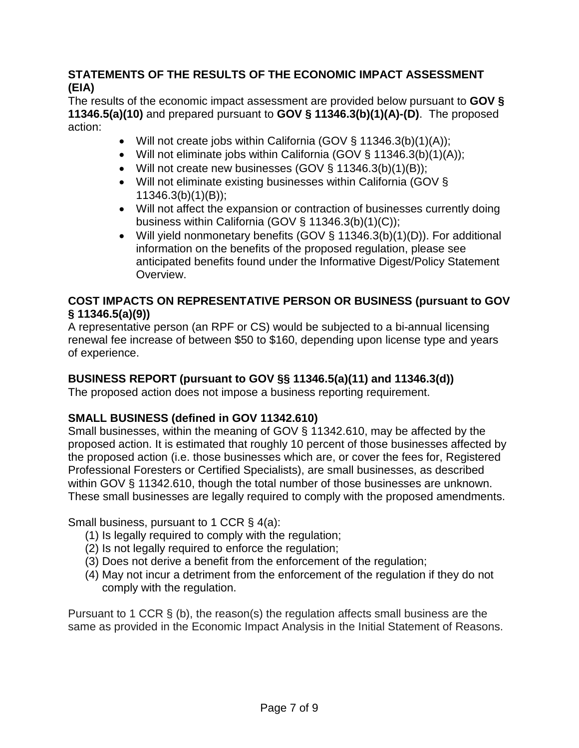# **STATEMENTS OF THE RESULTS OF THE ECONOMIC IMPACT ASSESSMENT (EIA)**

The results of the economic impact assessment are provided below pursuant to **GOV § 11346.5(a)(10)** and prepared pursuant to **GOV § 11346.3(b)(1)(A)-(D)**. The proposed action:

- Will not create jobs within California (GOV § 11346.3(b)(1)(A));
- Will not eliminate jobs within California (GOV § 11346.3(b)(1)(A));
- Will not create new businesses  $(GOV \S 11346.3(b)(1)(B));$
- Will not eliminate existing businesses within California (GOV § 11346.3(b)(1)(B));
- Will not affect the expansion or contraction of businesses currently doing business within California (GOV § 11346.3(b)(1)(C));
- Will yield nonmonetary benefits (GOV § 11346.3(b)(1)(D)). For additional information on the benefits of the proposed regulation, please see anticipated benefits found under the Informative Digest/Policy Statement Overview.

# **COST IMPACTS ON REPRESENTATIVE PERSON OR BUSINESS (pursuant to GOV § 11346.5(a)(9))**

A representative person (an RPF or CS) would be subjected to a bi-annual licensing renewal fee increase of between \$50 to \$160, depending upon license type and years of experience.

# **BUSINESS REPORT (pursuant to GOV §§ 11346.5(a)(11) and 11346.3(d))**

The proposed action does not impose a business reporting requirement.

# **SMALL BUSINESS (defined in GOV 11342.610)**

Small businesses, within the meaning of GOV § 11342.610, may be affected by the proposed action. It is estimated that roughly 10 percent of those businesses affected by the proposed action (i.e. those businesses which are, or cover the fees for, Registered Professional Foresters or Certified Specialists), are small businesses, as described within GOV § 11342.610, though the total number of those businesses are unknown. These small businesses are legally required to comply with the proposed amendments.

Small business, pursuant to 1 CCR § 4(a):

- (1) Is legally required to comply with the regulation;
- (2) Is not legally required to enforce the regulation;
- (3) Does not derive a benefit from the enforcement of the regulation;
- (4) May not incur a detriment from the enforcement of the regulation if they do not comply with the regulation.

Pursuant to 1 CCR § (b), the reason(s) the regulation affects small business are the same as provided in the Economic Impact Analysis in the Initial Statement of Reasons.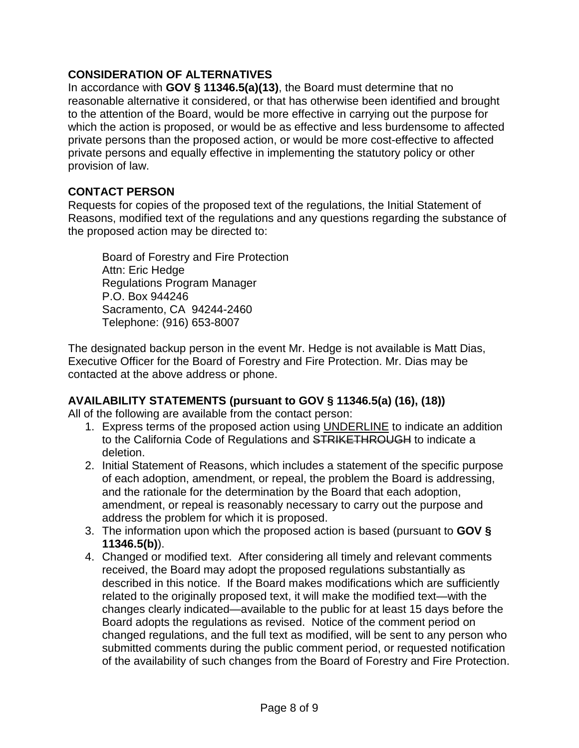# **CONSIDERATION OF ALTERNATIVES**

In accordance with **GOV § 11346.5(a)(13)**, the Board must determine that no reasonable alternative it considered, or that has otherwise been identified and brought to the attention of the Board, would be more effective in carrying out the purpose for which the action is proposed, or would be as effective and less burdensome to affected private persons than the proposed action, or would be more cost-effective to affected private persons and equally effective in implementing the statutory policy or other provision of law.

# **CONTACT PERSON**

Requests for copies of the proposed text of the regulations, the Initial Statement of Reasons, modified text of the regulations and any questions regarding the substance of the proposed action may be directed to:

Board of Forestry and Fire Protection Attn: Eric Hedge Regulations Program Manager P.O. Box 944246 Sacramento, CA 94244-2460 Telephone: (916) 653-8007

The designated backup person in the event Mr. Hedge is not available is Matt Dias, Executive Officer for the Board of Forestry and Fire Protection. Mr. Dias may be contacted at the above address or phone.

# **AVAILABILITY STATEMENTS (pursuant to GOV § 11346.5(a) (16), (18))**

All of the following are available from the contact person:

- 1. Express terms of the proposed action using UNDERLINE to indicate an addition to the California Code of Regulations and STRIKETHROUGH to indicate a deletion.
- 2. Initial Statement of Reasons, which includes a statement of the specific purpose of each adoption, amendment, or repeal, the problem the Board is addressing, and the rationale for the determination by the Board that each adoption, amendment, or repeal is reasonably necessary to carry out the purpose and address the problem for which it is proposed.
- 3. The information upon which the proposed action is based (pursuant to **GOV § 11346.5(b)**).
- 4. Changed or modified text. After considering all timely and relevant comments received, the Board may adopt the proposed regulations substantially as described in this notice. If the Board makes modifications which are sufficiently related to the originally proposed text, it will make the modified text—with the changes clearly indicated—available to the public for at least 15 days before the Board adopts the regulations as revised. Notice of the comment period on changed regulations, and the full text as modified, will be sent to any person who submitted comments during the public comment period, or requested notification of the availability of such changes from the Board of Forestry and Fire Protection.